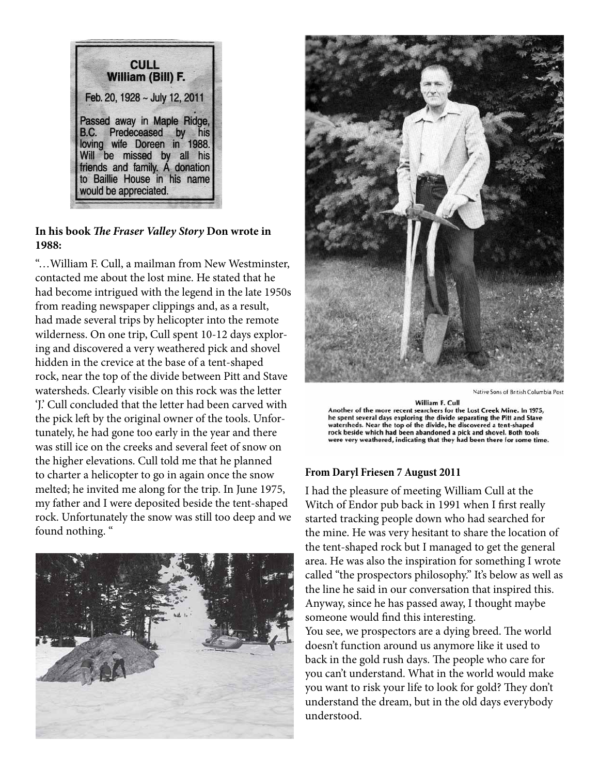**CULL** William (Bill) F. Feb. 20, 1928 ~ July 12, 2011 Passed away in Maple Ridge, B.C. Predeceased by his loving wife Doreen in 1988. Will be missed by all his friends and family. A donation to Baillie House in his name would be appreciated.

## **In his book** *The Fraser Valley Story* **Don wrote in 1988:**

"…William F. Cull, a mailman from New Westminster, contacted me about the lost mine. He stated that he had become intrigued with the legend in the late 1950s from reading newspaper clippings and, as a result, had made several trips by helicopter into the remote wilderness. On one trip, Cull spent 10-12 days exploring and discovered a very weathered pick and shovel hidden in the crevice at the base of a tent-shaped rock, near the top of the divide between Pitt and Stave watersheds. Clearly visible on this rock was the letter 'J.' Cull concluded that the letter had been carved with the pick left by the original owner of the tools. Unfortunately, he had gone too early in the year and there was still ice on the creeks and several feet of snow on the higher elevations. Cull told me that he planned to charter a helicopter to go in again once the snow melted; he invited me along for the trip. In June 1975, my father and I were deposited beside the tent-shaped rock. Unfortunately the snow was still too deep and we found nothing. "





Native Sons of British Columbia Post

William F. Cull Another of the more recent searchers for the Lost Creek Mine. In 1975, he spent several days exploring the divide separating the Pitt and Stave watersheds. Near the top of the divide, he discovered a tent-shaped rock beside which had been abandoned a pick and shovel. Both tools were very weathered, indicating that they had been there for some time.

## **From Daryl Friesen 7 August 2011**

I had the pleasure of meeting William Cull at the Witch of Endor pub back in 1991 when I first really started tracking people down who had searched for the mine. He was very hesitant to share the location of the tent-shaped rock but I managed to get the general area. He was also the inspiration for something I wrote called "the prospectors philosophy." It's below as well as the line he said in our conversation that inspired this. Anyway, since he has passed away, I thought maybe someone would find this interesting.

You see, we prospectors are a dying breed. The world doesn't function around us anymore like it used to back in the gold rush days. The people who care for you can't understand. What in the world would make you want to risk your life to look for gold? They don't understand the dream, but in the old days everybody understood.